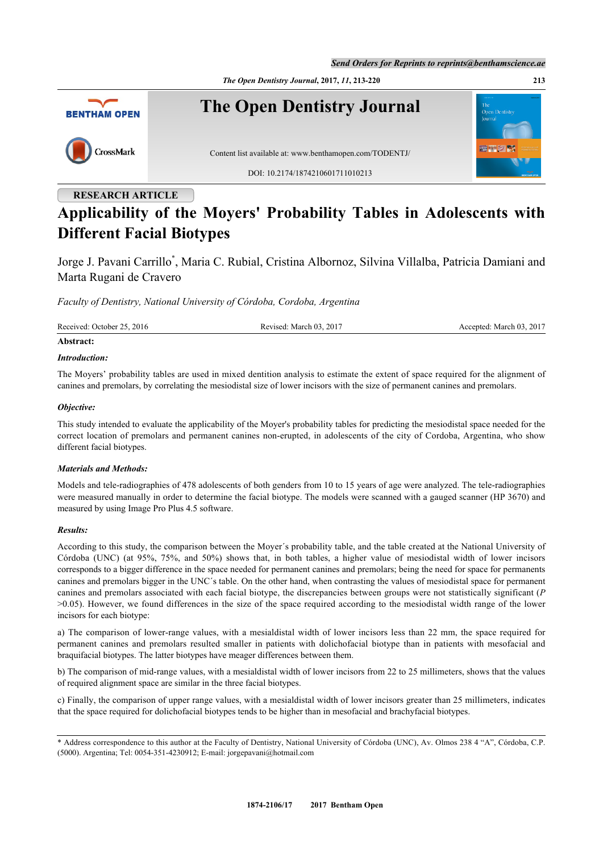



## **RESEARCH ARTICLE**

# **Applicability of the Moyers' Probability Tables in Adolescents with Different Facial Biotypes**

Jorge J. Pavani Carrillo[\\*](#page-0-0) , Maria C. Rubial, Cristina Albornoz, Silvina Villalba, Patricia Damiani and Marta Rugani de Cravero

*Faculty of Dentistry, National University of Córdoba, Cordoba, Argentina*

| Received: October 25, 2016 | Revised: March 03, 2017 | Accepted: March 03, 2017 |
|----------------------------|-------------------------|--------------------------|
| Abstract:                  |                         |                          |

#### *Introduction:*

The Moyers' probability tables are used in mixed dentition analysis to estimate the extent of space required for the alignment of canines and premolars, by correlating the mesiodistal size of lower incisors with the size of permanent canines and premolars.

#### *Objective:*

This study intended to evaluate the applicability of the Moyer's probability tables for predicting the mesiodistal space needed for the correct location of premolars and permanent canines non-erupted, in adolescents of the city of Cordoba, Argentina, who show different facial biotypes.

#### *Materials and Methods:*

Models and tele-radiographies of 478 adolescents of both genders from 10 to 15 years of age were analyzed. The tele-radiographies were measured manually in order to determine the facial biotype. The models were scanned with a gauged scanner (HP 3670) and measured by using Image Pro Plus 4.5 software.

#### *Results:*

According to this study, the comparison between the Moyer´s probability table, and the table created at the National University of Córdoba (UNC) (at 95%, 75%, and 50%) shows that, in both tables, a higher value of mesiodistal width of lower incisors corresponds to a bigger difference in the space needed for permanent canines and premolars; being the need for space for permanents canines and premolars bigger in the UNC´s table. On the other hand, when contrasting the values of mesiodistal space for permanent canines and premolars associated with each facial biotype, the discrepancies between groups were not statistically significant (*P* >0.05). However, we found differences in the size of the space required according to the mesiodistal width range of the lower incisors for each biotype:

a) The comparison of lower-range values, with a mesialdistal width of lower incisors less than 22 mm, the space required for permanent canines and premolars resulted smaller in patients with dolichofacial biotype than in patients with mesofacial and braquifacial biotypes. The latter biotypes have meager differences between them.

b) The comparison of mid-range values, with a mesialdistal width of lower incisors from 22 to 25 millimeters, shows that the values of required alignment space are similar in the three facial biotypes.

c) Finally, the comparison of upper range values, with a mesialdistal width of lower incisors greater than 25 millimeters, indicates that the space required for dolichofacial biotypes tends to be higher than in mesofacial and brachyfacial biotypes.

<span id="page-0-0"></span><sup>\*</sup> Address correspondence to this author at the Faculty of Dentistry, National University of Córdoba (UNC), Av. Olmos 238 4 "A", Córdoba, C.P. (5000). Argentina; Tel: 0054-351-4230912; E-mail: [jorgepavani@hotmail.com](mailto:jorgepavani@hotmail.com)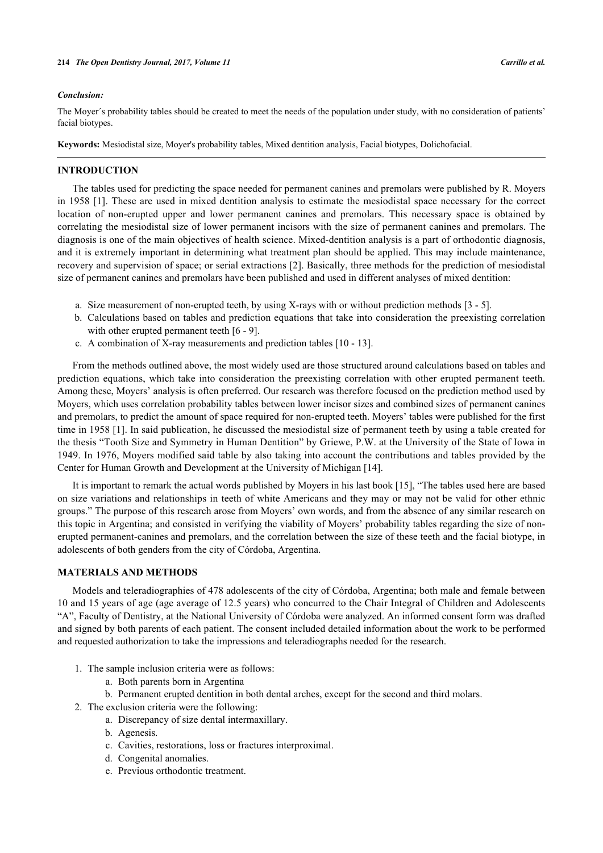#### *Conclusion:*

The Moyer´s probability tables should be created to meet the needs of the population under study, with no consideration of patients' facial biotypes.

**Keywords:** Mesiodistal size, Moyer's probability tables, Mixed dentition analysis, Facial biotypes, Dolichofacial.

#### **INTRODUCTION**

The tables used for predicting the space needed for permanent canines and premolars were published by R. Moyers in 1958 [[1\]](#page-6-0). These are used in mixed dentition analysis to estimate the mesiodistal space necessary for the correct location of non-erupted upper and lower permanent canines and premolars. This necessary space is obtained by correlating the mesiodistal size of lower permanent incisors with the size of permanent canines and premolars. The diagnosis is one of the main objectives of health science. Mixed-dentition analysis is a part of orthodontic diagnosis, and it is extremely important in determining what treatment plan should be applied. This may include maintenance, recovery and supervision of space; or serial extractions [\[2](#page-6-1)]. Basically, three methods for the prediction of mesiodistal size of permanent canines and premolars have been published and used in different analyses of mixed dentition:

- a. Size measurement of non-erupted teeth, by using X-rays with or without prediction methods [[3](#page-6-2)  [5\]](#page-6-3).
- b. Calculations based on tables and prediction equations that take into consideration the preexisting correlation with other erupted permanent teeth [\[6](#page-6-4) - [9\]](#page-6-5).
- c. A combination of X-ray measurements and prediction tables [\[10](#page-6-6) [13\]](#page-6-7).

From the methods outlined above, the most widely used are those structured around calculations based on tables and prediction equations, which take into consideration the preexisting correlation with other erupted permanent teeth. Among these, Moyers' analysis is often preferred. Our research was therefore focused on the prediction method used by Moyers, which uses correlation probability tables between lower incisor sizes and combined sizes of permanent canines and premolars, to predict the amount of space required for non-erupted teeth. Moyers' tables were published for the first time in 1958 [[1\]](#page-6-0). In said publication, he discussed the mesiodistal size of permanent teeth by using a table created for the thesis "Tooth Size and Symmetry in Human Dentition" by Griewe, P.W. at the University of the State of Iowa in 1949. In 1976, Moyers modified said table by also taking into account the contributions and tables provided by the Center for Human Growth and Development at the University of Michigan [\[14](#page-6-8)].

It is important to remark the actual words published by Moyers in his last book [[15\]](#page-6-9), "The tables used here are based on size variations and relationships in teeth of white Americans and they may or may not be valid for other ethnic groups." The purpose of this research arose from Moyers' own words, and from the absence of any similar research on this topic in Argentina; and consisted in verifying the viability of Moyers' probability tables regarding the size of nonerupted permanent-canines and premolars, and the correlation between the size of these teeth and the facial biotype, in adolescents of both genders from the city of Córdoba, Argentina.

### **MATERIALS AND METHODS**

Models and teleradiographies of 478 adolescents of the city of Córdoba, Argentina; both male and female between 10 and 15 years of age (age average of 12.5 years) who concurred to the Chair Integral of Children and Adolescents "A", Faculty of Dentistry, at the National University of Córdoba were analyzed. An informed consent form was drafted and signed by both parents of each patient. The consent included detailed information about the work to be performed and requested authorization to take the impressions and teleradiographs needed for the research.

- 1. The sample inclusion criteria were as follows:
	- a. Both parents born in Argentina
	- b. Permanent erupted dentition in both dental arches, except for the second and third molars.
- 2. The exclusion criteria were the following:
	- a. Discrepancy of size dental intermaxillary.
	- b. Agenesis.
	- c. Cavities, restorations, loss or fractures interproximal.
	- d. Congenital anomalies.
	- e. Previous orthodontic treatment.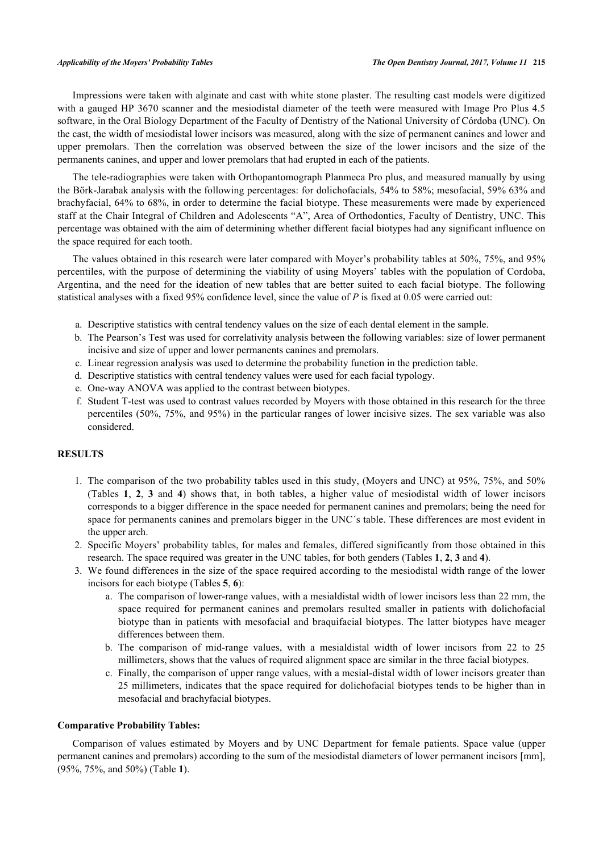Impressions were taken with alginate and cast with white stone plaster. The resulting cast models were digitized with a gauged HP 3670 scanner and the mesiodistal diameter of the teeth were measured with Image Pro Plus 4.5 software, in the Oral Biology Department of the Faculty of Dentistry of the National University of Córdoba (UNC). On the cast, the width of mesiodistal lower incisors was measured, along with the size of permanent canines and lower and upper premolars. Then the correlation was observed between the size of the lower incisors and the size of the permanents canines, and upper and lower premolars that had erupted in each of the patients.

The tele-radiographies were taken with Orthopantomograph Planmeca Pro plus, and measured manually by using the Börk-Jarabak analysis with the following percentages: for dolichofacials, 54% to 58%; mesofacial, 59% 63% and brachyfacial, 64% to 68%, in order to determine the facial biotype. These measurements were made by experienced staff at the Chair Integral of Children and Adolescents "A", Area of Orthodontics, Faculty of Dentistry, UNC. This percentage was obtained with the aim of determining whether different facial biotypes had any significant influence on the space required for each tooth.

The values obtained in this research were later compared with Moyer's probability tables at 50%, 75%, and 95% percentiles, with the purpose of determining the viability of using Moyers' tables with the population of Cordoba, Argentina, and the need for the ideation of new tables that are better suited to each facial biotype. The following statistical analyses with a fixed 95% confidence level, since the value of *P* is fixed at 0.05 were carried out:

- a. Descriptive statistics with central tendency values on the size of each dental element in the sample.
- b. The Pearson's Test was used for correlativity analysis between the following variables: size of lower permanent incisive and size of upper and lower permanents canines and premolars.
- c. Linear regression analysis was used to determine the probability function in the prediction table.
- d. Descriptive statistics with central tendency values were used for each facial typology.
- e. One-way ANOVA was applied to the contrast between biotypes.
- f. Student T-test was used to contrast values recorded by Moyers with those obtained in this research for the three percentiles (50%, 75%, and 95%) in the particular ranges of lower incisive sizes. The sex variable was also considered.

#### **RESULTS**

- 1. The comparison of the two probability tables used in this study, (Moyers and UNC) at 95%, 75%, and 50% (Tables**1**,**2**,**3** and**4**) shows that, in both tables, a higher value of mesiodistal width of lower incisors corresponds to a bigger difference in the space needed for permanent canines and premolars; being the need for space for permanents canines and premolars bigger in the UNC´s table. These differences are most evident in the upper arch.
- 2. Specific Moyers' probability tables, for males and females, differed significantly from those obtained in this research. The space required was greater in the UNC tables, for both genders (Tables **[1](#page-2-0)**, **[2](#page-3-0)**, **[3](#page-4-0)** and **[4](#page-4-1)**).
- 3. We found differences in the size of the space required according to the mesiodistal width range of the lower incisors for each biotype (Tables **[5](#page-4-2)**, **[6](#page-5-0)**):
	- a. The comparison of lower-range values, with a mesialdistal width of lower incisors less than 22 mm, the space required for permanent canines and premolars resulted smaller in patients with dolichofacial biotype than in patients with mesofacial and braquifacial biotypes. The latter biotypes have meager differences between them.
	- b. The comparison of mid-range values, with a mesialdistal width of lower incisors from 22 to 25 millimeters, shows that the values of required alignment space are similar in the three facial biotypes.
	- c. Finally, the comparison of upper range values, with a mesial-distal width of lower incisors greater than 25 millimeters, indicates that the space required for dolichofacial biotypes tends to be higher than in mesofacial and brachyfacial biotypes.

#### **Comparative Probability Tables:**

<span id="page-2-0"></span>Comparison of values estimated by Moyers and by UNC Department for female patients. Space value (upper permanent canines and premolars) according to the sum of the mesiodistal diameters of lower permanent incisors [mm], (95%, 75%, and 50%) (Table **[1](#page-2-0)**).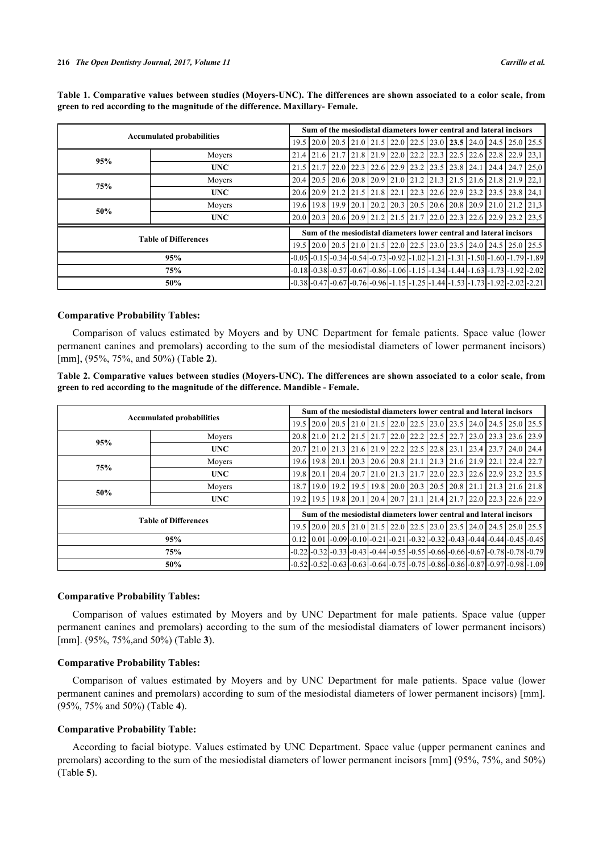|     | Sum of the mesiodistal diameters lower central and lateral incisors |      |                      |  |      |  |  |                               |  |  |  |                                                                                                                 |                                                                                                                                                                                     |      |
|-----|---------------------------------------------------------------------|------|----------------------|--|------|--|--|-------------------------------|--|--|--|-----------------------------------------------------------------------------------------------------------------|-------------------------------------------------------------------------------------------------------------------------------------------------------------------------------------|------|
|     | <b>Accumulated probabilities</b>                                    | 19.5 | $20.0$   20.5        |  |      |  |  | $21.0$ $21.5$ $22.0$ $22.5$   |  |  |  |                                                                                                                 | $23.0$   23.5   24.0   24.5   25.0   25.5                                                                                                                                           |      |
| 95% | Movers                                                              | 21.4 |                      |  |      |  |  |                               |  |  |  |                                                                                                                 | $\left[21.6\right]21.7\left[21.8\right]21.9\left[22.0\right]22.2\left[22.3\right]22.5\left[22.6\right]22.8\left[22.9\right]23.1$                                                    |      |
|     | <b>UNC</b>                                                          | 21.5 |                      |  |      |  |  |                               |  |  |  |                                                                                                                 | $[21.7 \, 22.0 \, 22.3 \, 22.6 \, 22.9 \, 23.2 \, 23.5 \, 23.8 \, 24.1 \, 24.4 \, 24.7 \, 25.0$                                                                                     |      |
| 75% | Moyers                                                              | 20.4 | 20.5                 |  |      |  |  |                               |  |  |  |                                                                                                                 | $\left[20.6\right]20.8\left[20.9\right]21.0\left[21.2\right]21.3\left[21.5\right]21.6\left[21.8\right]21.9\right]$                                                                  | 22,1 |
|     | <b>UNC</b>                                                          |      | $20.6$   20.9   21.2 |  |      |  |  | 21.5 21.8 22.1 22.3 22.6 22.9 |  |  |  |                                                                                                                 | 123.2123.5123.8124.1                                                                                                                                                                |      |
| 50% | Movers                                                              |      | 19.6   19.8   19.9   |  | 20.1 |  |  |                               |  |  |  |                                                                                                                 | $\left[20.2\right]$ $\left[20.3\right]$ $\left[20.5\right]$ $\left[20.6\right]$ $\left[20.8\right]$ $\left[20.9\right]$ $\left[21.0\right]$ $\left[21.2\right]$ $\left[21.3\right]$ |      |
|     | <b>UNC</b>                                                          |      |                      |  |      |  |  |                               |  |  |  |                                                                                                                 | 20.0   20.3   20.6   20.9   21.2   21.5   21.7   22.0   22.3   22.6   22.9   23.2   23.5                                                                                            |      |
|     | <b>Table of Differences</b>                                         |      |                      |  |      |  |  |                               |  |  |  |                                                                                                                 | Sum of the mesiodistal diameters lower central and lateral incisors                                                                                                                 |      |
|     |                                                                     | 19.5 |                      |  |      |  |  |                               |  |  |  |                                                                                                                 | 20.0   20.5   21.0   21.5   22.0   22.5   23.0   23.5   24.0   24.5   25.0   25.5                                                                                                   |      |
|     | 95%                                                                 |      |                      |  |      |  |  |                               |  |  |  |                                                                                                                 | $-0.05$ $-0.15$ $-0.34$ $-0.54$ $-0.73$ $-0.92$ $-1.02$ $-1.21$ $-1.31$ $-1.50$ $-1.60$ $-1.79$ $-1.89$                                                                             |      |
|     | 75%                                                                 |      |                      |  |      |  |  |                               |  |  |  |                                                                                                                 | $-0.18$ $-0.38$ $-0.57$ $-0.67$ $-0.86$ $-1.06$ $-1.15$ $-1.34$ $-1.44$ $-1.63$ $-1.73$ $-1.92$ $-2.02$                                                                             |      |
|     |                                                                     |      |                      |  |      |  |  |                               |  |  |  | $-0.38$ $-0.47$ $-0.67$ $-0.76$ $-0.96$ $-1.15$ $-1.25$ $-1.44$ $-1.53$ $-1.73$ $-1.73$ $-1.92$ $-2.02$ $-2.21$ |                                                                                                                                                                                     |      |

**Table 1. Comparative values between studies (Moyers-UNC). The differences are shown associated to a color scale, from green to red according to the magnitude of the difference. Maxillary- Female.**

#### **Comparative Probability Tables:**

Comparison of values estimated by Moyers and by UNC Department for female patients. Space value (lower permanent canines and premolars) according to the sum of the mesiodistal diameters of lower permanent incisors) [mm], (95%, 75%, and 50%) (Table **[2](#page-3-0)**).

<span id="page-3-0"></span>**Table 2. Comparative values between studies (Moyers-UNC). The differences are shown associated to a color scale, from green to red according to the magnitude of the difference. Mandible - Female.**

|     | <b>Accumulated probabilities</b> |      |                    |      |                                                                                                                               | Sum of the mesiodistal diameters lower central and lateral incisors                                                                                                                 |  |  |             |  |  |  |                                                                                         |      |  |  |  |  |  |
|-----|----------------------------------|------|--------------------|------|-------------------------------------------------------------------------------------------------------------------------------|-------------------------------------------------------------------------------------------------------------------------------------------------------------------------------------|--|--|-------------|--|--|--|-----------------------------------------------------------------------------------------|------|--|--|--|--|--|
|     |                                  |      | 19.5   20.0   20.5 |      |                                                                                                                               | $\vert$ 21.0 $\vert$ 21.5 $\vert$ 22.0 $\vert$ 22.5 $\vert$ 23.0 $\vert$ 23.5 $\vert$ 24.0 $\vert$ 24.5 $\vert$ 25.0 $\vert$ 25.5                                                   |  |  |             |  |  |  |                                                                                         |      |  |  |  |  |  |
| 95% | Movers                           |      | 20.8 21.0 21.2     |      |                                                                                                                               | $21.5$ $21.7$ $22.0$ $22.2$                                                                                                                                                         |  |  | $22.5$ 22.7 |  |  |  | 23.0 23.3 23.6 23.9                                                                     |      |  |  |  |  |  |
|     | <b>UNC</b>                       | 20.7 | 21.0 21.3          |      |                                                                                                                               | 21.6   21.9   22.2   22.5   22.8   23.1                                                                                                                                             |  |  |             |  |  |  | $\left[ 23.4 \right]$ $\left[ 23.7 \right]$ $\left[ 24.0 \right]$ $\left[ 24.4 \right]$ |      |  |  |  |  |  |
| 75% | Movers                           |      | 19.6 19.8 20.1     |      | 20.3                                                                                                                          | $\left[20.6\right]20.8\left[21.1\right]21.3\left[21.6\right]21.9\left[22.1\right]$                                                                                                  |  |  |             |  |  |  | 22.4                                                                                    | 22.7 |  |  |  |  |  |
|     | <b>UNC</b>                       |      | $19.8$   20.1      | 20.4 |                                                                                                                               | 20.7 21.0 21.3 21.7 22.0 22.3 22.6 22.9 23.2 23.5                                                                                                                                   |  |  |             |  |  |  |                                                                                         |      |  |  |  |  |  |
| 50% | Movers                           | 18.7 | 19.0               | 19.2 | 19.5                                                                                                                          | 19.8   20.0   20.3   20.5   20.8   21.1   21.3   21.6   21.8                                                                                                                        |  |  |             |  |  |  |                                                                                         |      |  |  |  |  |  |
|     | <b>UNC</b>                       | 19.2 | 19.5               | 19.8 | 20.1                                                                                                                          | $\left[20.4\right]$ $\left[20.7\right]$ $\left[21.1\right]$ $\left[21.4\right]$ $\left[21.7\right]$ $\left[22.0\right]$ $\left[22.3\right]$ $\left[22.6\right]$ $\left[22.9\right]$ |  |  |             |  |  |  |                                                                                         |      |  |  |  |  |  |
|     |                                  |      |                    |      |                                                                                                                               | Sum of the mesiodistal diameters lower central and lateral incisors                                                                                                                 |  |  |             |  |  |  |                                                                                         |      |  |  |  |  |  |
|     | <b>Table of Differences</b>      |      |                    |      |                                                                                                                               | 19.5 20.0 20.5 21.0 21.5 22.0 22.5 23.0 23.5 24.0 24.5 25.0 25.5                                                                                                                    |  |  |             |  |  |  |                                                                                         |      |  |  |  |  |  |
|     |                                  |      |                    |      | $0.12$   $0.01$   $-0.09$   $-0.10$   $-0.21$   $-0.21$   $-0.32$   $-0.32$   $-0.43$   $-0.44$   $-0.44$   $-0.45$   $-0.45$ |                                                                                                                                                                                     |  |  |             |  |  |  |                                                                                         |      |  |  |  |  |  |
|     | 75%                              |      |                    |      |                                                                                                                               | $-0.22$ ] $-0.32$ ] $-0.33$ ] $-0.43$ ] $-0.44$ ] $-0.55$ ] $-0.55$ ] $-0.66$ ] $-0.66$ ] $-0.67$ ] $-0.78$ ] $-0.78$ ] $-0.79$ ]                                                   |  |  |             |  |  |  |                                                                                         |      |  |  |  |  |  |
|     |                                  |      |                    |      | -0.52 -0.52 -0.63 -0.63 -0.64 -0.75 -0.75 -0.86 -0.86 -0.87 -0.97 -0.98 -1.09                                                 |                                                                                                                                                                                     |  |  |             |  |  |  |                                                                                         |      |  |  |  |  |  |

#### **Comparative Probability Tables:**

Comparison of values estimated by Moyers and by UNC Department for male patients. Space value (upper permanent canines and premolars) according to the sum of the mesiodistal diamaters of lower permanent incisors) [mm]. (95%, 75%,and 50%) (Table **[3](#page-4-0)**).

### **Comparative Probability Tables:**

Comparison of values estimated by Moyers and by UNC Department for male patients. Space value (lower permanent canines and premolars) according to sum of the mesiodistal diameters of lower permanent incisors) [mm]. (95%, 75% and 50%) (Table **[4](#page-4-1)**).

#### **Comparative Probability Table:**

According to facial biotype. Values estimated by UNC Department. Space value (upper permanent canines and premolars) according to the sum of the mesiodistal diameters of lower permanent incisors [mm] (95%, 75%, and 50%) (Table **[5](#page-4-2)**).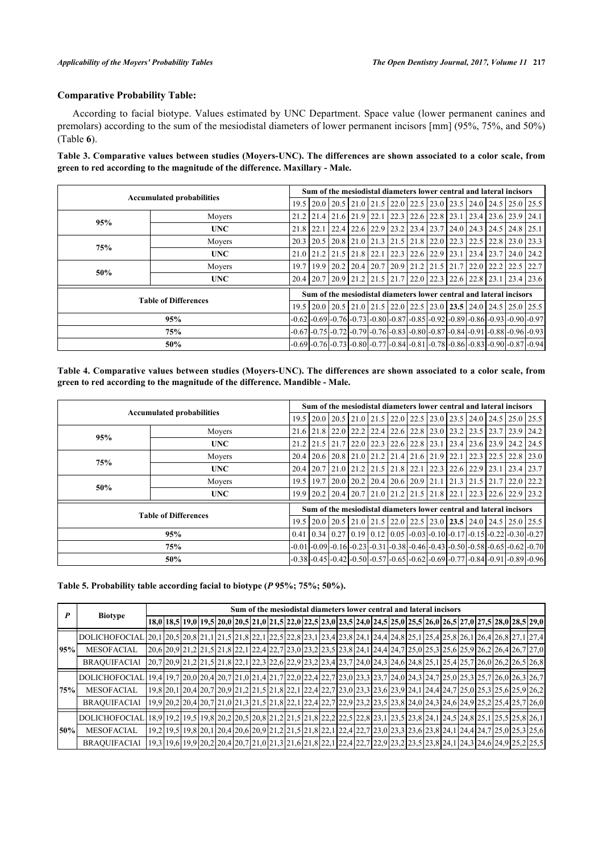#### **Comparative Probability Table:**

According to facial biotype. Values estimated by UNC Department. Space value (lower permanent canines and premolars) according to the sum of the mesiodistal diameters of lower permanent incisors [mm] (95%, 75%, and 50%) (Table **[6](#page-5-0)**).

<span id="page-4-0"></span>**Table 3. Comparative values between studies (Moyers-UNC). The differences are shown associated to a color scale, from green to red according to the magnitude of the difference. Maxillary - Male.**

|     | Sum of the mesiodistal diameters lower central and lateral incisors |                                                                     |  |  |  |                                                       |                  |  |  |                                                                            |            |       |                                                                                                         |                                                                                                         |  |
|-----|---------------------------------------------------------------------|---------------------------------------------------------------------|--|--|--|-------------------------------------------------------|------------------|--|--|----------------------------------------------------------------------------|------------|-------|---------------------------------------------------------------------------------------------------------|---------------------------------------------------------------------------------------------------------|--|
|     | <b>Accumulated probabilities</b>                                    |                                                                     |  |  |  |                                                       |                  |  |  | 19.5 20.0 20.5 21.0 21.5 22.0 22.5 23.0 23.5 24.0 24.5 25.0 25.5           |            |       |                                                                                                         |                                                                                                         |  |
| 95% | Movers                                                              |                                                                     |  |  |  | 21.2 21.4 21.6 21.9 22.1 22.3 22.6 22.8 23.1          |                  |  |  |                                                                            |            |       | 123.4123.6123.9124.1                                                                                    |                                                                                                         |  |
|     | <b>UNC</b>                                                          | $21.8$   22.1                                                       |  |  |  |                                                       |                  |  |  | $22.4$ $22.6$ $22.9$ $23.2$ $23.4$ $23.7$ $24.0$ $24.3$                    |            |       | $124.5$ $124.8$ $125.1$                                                                                 |                                                                                                         |  |
| 75% | Movers                                                              |                                                                     |  |  |  | 20.3   20.5   20.8   21.0   21.3   21.5   21.8   22.0 |                  |  |  | 122.3                                                                      | 22.5       | 122.8 | 23.0 23.3                                                                                               |                                                                                                         |  |
|     | <b>UNC</b>                                                          |                                                                     |  |  |  |                                                       | $22.3$ 22.6 22.9 |  |  | 123.1                                                                      | 123.4123.7 |       |                                                                                                         | $24.0$ 24.2                                                                                             |  |
| 50% | Movers                                                              |                                                                     |  |  |  |                                                       |                  |  |  | 19.7   19.9   20.2   20.4   20.7   20.9   21.2   21.5   21.7   22.0   22.2 |            |       | 22.5                                                                                                    | 22.7                                                                                                    |  |
|     | <b>UNC</b>                                                          |                                                                     |  |  |  |                                                       |                  |  |  |                                                                            |            |       |                                                                                                         | 20.4 20.7 20.9 21.2 21.5 21.7 22.0 22.3 22.6 22.8 23.1 23.4 23.6                                        |  |
|     |                                                                     | Sum of the mesiodistal diameters lower central and lateral incisors |  |  |  |                                                       |                  |  |  |                                                                            |            |       |                                                                                                         |                                                                                                         |  |
|     | <b>Table of Differences</b>                                         |                                                                     |  |  |  |                                                       |                  |  |  |                                                                            |            |       |                                                                                                         | 19.5   20.0   20.5   21.0   21.5   22.0   22.5   23.0   23.5   24.0   24.5   25.0   25.5                |  |
|     |                                                                     |                                                                     |  |  |  |                                                       |                  |  |  |                                                                            |            |       | $-0.62$ $-0.69$ $-0.76$ $-0.73$ $-0.80$ $-0.87$ $-0.85$ $-0.92$ $-0.89$ $-0.86$ $-0.93$ $-0.90$ $-0.97$ |                                                                                                         |  |
|     | 75%                                                                 |                                                                     |  |  |  |                                                       |                  |  |  |                                                                            |            |       |                                                                                                         | $-0.67$ $-0.75$ $-0.72$ $-0.79$ $-0.76$ $-0.83$ $-0.80$ $-0.87$ $-0.84$ $-0.91$ $-0.88$ $-0.96$ $-0.93$ |  |
|     |                                                                     |                                                                     |  |  |  |                                                       |                  |  |  |                                                                            |            |       | $-0.69$ $-0.76$ $-0.73$ $-0.80$ $-0.77$ $-0.84$ $-0.81$ $-0.78$ $-0.86$ $-0.83$ $-0.90$ $-0.87$ $-0.94$ |                                                                                                         |  |

<span id="page-4-1"></span>**Table 4. Comparative values between studies (Moyers-UNC). The differences are shown associated to a color scale, from green to red according to the magnitude of the difference. Mandible - Male.**

|     | Sum of the mesiodistal diameters lower central and lateral incisors |  |  |  |                                                                                                                           |                                                                                                         |  |                                                              |  |  |  |  |                                                                  |  |
|-----|---------------------------------------------------------------------|--|--|--|---------------------------------------------------------------------------------------------------------------------------|---------------------------------------------------------------------------------------------------------|--|--------------------------------------------------------------|--|--|--|--|------------------------------------------------------------------|--|
|     | <b>Accumulated probabilities</b>                                    |  |  |  |                                                                                                                           | 19.5 20.0 20.5 21.0 21.5 22.0 22.5 23.0 23.5 24.0 24.5 25.0 25.5                                        |  |                                                              |  |  |  |  |                                                                  |  |
| 95% | Movers                                                              |  |  |  |                                                                                                                           | 21.6 21.8 22.0 22.2 22.4 22.6 22.8 23.0 23.2 23.5 23.7 23.9 24.2                                        |  |                                                              |  |  |  |  |                                                                  |  |
|     | <b>UNC</b>                                                          |  |  |  |                                                                                                                           | 21.2 21.5 21.7 22.0 22.3 22.6 22.8 23.1 23.4 23.6 23.9 24.2 24.5                                        |  |                                                              |  |  |  |  |                                                                  |  |
|     | Movers<br><b>75%</b>                                                |  |  |  |                                                                                                                           |                                                                                                         |  | 20.4   20.6   20.8   21.0   21.2   21.4   21.6   21.9   22.1 |  |  |  |  | $22.3$   22.5   22.8   23.0                                      |  |
|     | <b>UNC</b>                                                          |  |  |  |                                                                                                                           |                                                                                                         |  |                                                              |  |  |  |  | 20.4 20.7 21.0 21.2 21.5 21.8 22.1 22.3 22.6 22.9 23.1 23.4 23.7 |  |
| 50% | Movers                                                              |  |  |  |                                                                                                                           | 19.5   19.7   20.0   20.2   20.4   20.6   20.9   21.1   21.3   21.5   21.7   22.0   22.2                |  |                                                              |  |  |  |  |                                                                  |  |
|     | <b>UNC</b>                                                          |  |  |  |                                                                                                                           | 19.9   20.2   20.4   20.7   21.0   21.2   21.5   21.8   22.1   22.3   22.6   22.9   23.2                |  |                                                              |  |  |  |  |                                                                  |  |
|     | <b>Table of Differences</b>                                         |  |  |  |                                                                                                                           | Sum of the mesiodistal diameters lower central and lateral incisors                                     |  |                                                              |  |  |  |  |                                                                  |  |
|     |                                                                     |  |  |  |                                                                                                                           | 19.5 20.0 20.5 21.0 21.5 22.0 22.5 23.0 23.5 24.0 24.5 25.0 25.5                                        |  |                                                              |  |  |  |  |                                                                  |  |
|     |                                                                     |  |  |  | $0.41$   $0.34$   $0.27$   $0.19$   $0.12$   $0.05$   $-0.03$   $-0.10$   $-0.17$   $-0.15$   $-0.22$   $-0.30$   $-0.27$ |                                                                                                         |  |                                                              |  |  |  |  |                                                                  |  |
|     | 75%                                                                 |  |  |  |                                                                                                                           | $-0.01$ $-0.09$ $-0.16$ $-0.23$ $-0.31$ $-0.38$ $-0.46$ $-0.43$ $-0.50$ $-0.58$ $-0.65$ $-0.62$ $-0.70$ |  |                                                              |  |  |  |  |                                                                  |  |
|     |                                                                     |  |  |  | -0.38 -0.45 -0.42 -0.50 -0.57 -0.65 -0.62 -0.69 -0.77 -0.84 -0.91 -0.89 -0.96                                             |                                                                                                         |  |                                                              |  |  |  |  |                                                                  |  |

<span id="page-4-2"></span>**Table 5. Probability table according facial to biotype (***P* **95%; 75%; 50%).**

|     | <b>Biotype</b>                                                                                                                   |  |  |  |  | Sum of the mesiodistal diameters lower central and lateral incisors |  |  |  |  |  |  |                                                                                                                                                                |  |
|-----|----------------------------------------------------------------------------------------------------------------------------------|--|--|--|--|---------------------------------------------------------------------|--|--|--|--|--|--|----------------------------------------------------------------------------------------------------------------------------------------------------------------|--|
|     |                                                                                                                                  |  |  |  |  |                                                                     |  |  |  |  |  |  | 18,0   18,5   19,0   19,5   20,0   20,5   21,0   21,5   22,0   22,5   23,0   23,5   24,0   24,5   25,0   25,5   26,0   26,5   27,0   27,5   28,0   28,5   29,0 |  |
|     | DOLICHOFOCIAL 20,1 20,5 20,8 21,1 21,5 21,8 22,1 22,5 22,8 23,1 23,4 23,8 24,1 24,4 24,8 25,1 25,4 25,8 26,1 26,4 26,8 27,1 27,4 |  |  |  |  |                                                                     |  |  |  |  |  |  |                                                                                                                                                                |  |
| 95% | <b>MESOFACIAL</b>                                                                                                                |  |  |  |  |                                                                     |  |  |  |  |  |  | 20,6 20,9 21,2 21,5 21,8 22,1 22,4 22,7 23,0 23,2 23,5 23,8 24,1 24,4 24,7 25,0 25,3 25,6 25,9 26,2 26,4 26,7 27,0                                             |  |
|     | <b>BRAOUIFACIAL</b>                                                                                                              |  |  |  |  |                                                                     |  |  |  |  |  |  | 20,7 20,9 21,2 21,5 21,8 22,1 22,3 22,6 22,9 23,2 23,4 23,7 24,0 24,3 24,6 24,8 25,1 25,4 25,7 26,0 26,2 26,5 26,8                                             |  |
|     | DOLICHOFOCIAL 19,4 19,7 20,0 20,4 20,7 21,0 21,4 21,7 22,0 22,4 22,7 23,0 23,3 23,7 24,0 24,3 24,7 25,0 25,3 25,7 26,0 26,3 26,7 |  |  |  |  |                                                                     |  |  |  |  |  |  |                                                                                                                                                                |  |
| 75% | <b>MESOFACIAL</b>                                                                                                                |  |  |  |  |                                                                     |  |  |  |  |  |  | 19,8 20,1 20,4 20,7 20,9 21,2 21,5 21,8 22,1 22,4 22,7 23,0 23,3 23,6 23,9 24,1 24,4 24,7 25,0 25,3 25,6 25,9 26,2                                             |  |
|     | <b>BRAOUIFACIAL</b>                                                                                                              |  |  |  |  |                                                                     |  |  |  |  |  |  | 19,9 20,2 20,4 20,7 21,0 21,3 21,5 21,8 22,1 22,4 22,7 22,9 23,2 23,5 23,8 24,0 24,3 24,6 24,9 25,2 25,4 25,7 26,0                                             |  |
|     | DOLICHOFOCIAL 18,9 19,2 19,5 19,8 20,2 20,5 20,8 21,2 21,5 21,8 22,2 22,5 22,8 23,1 23,5 23,8 24,1 24,5 24,8 25,1 25,5 25,8 26,1 |  |  |  |  |                                                                     |  |  |  |  |  |  |                                                                                                                                                                |  |
| 50% | <b>MESOFACIAL</b>                                                                                                                |  |  |  |  |                                                                     |  |  |  |  |  |  | 19,2 19,5 19,8 20,1 20,4 20,6 20,9 21,2 21,5 21,8 22,1 22,4 22,7 23,0 23,3 23,6 23,8 24,1 24,4 24,7 25,0 25,3 25,6                                             |  |
|     | <b>BRAOUIFACIAL</b>                                                                                                              |  |  |  |  |                                                                     |  |  |  |  |  |  | 19,3 19,6 19,9 20,2 20,4 20,7 21,0 21,3 21,6 21,8 22,1 22,4 22,7 22,9 23,2 23,5 23,8 24,1 24,3 24,6 24,9 25,2 25,5                                             |  |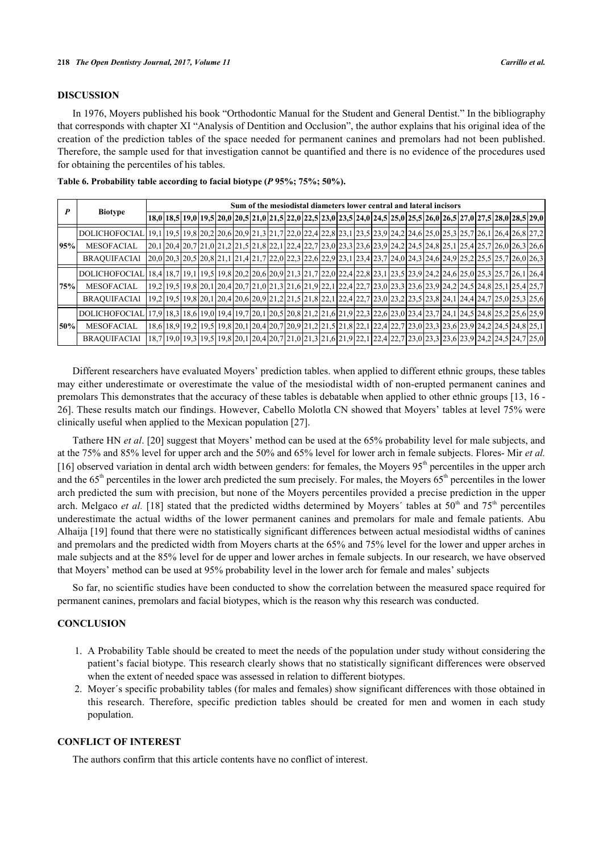#### **DISCUSSION**

In 1976, Moyers published his book "Orthodontic Manual for the Student and General Dentist." In the bibliography that corresponds with chapter XI "Analysis of Dentition and Occlusion", the author explains that his original idea of the creation of the prediction tables of the space needed for permanent canines and premolars had not been published. Therefore, the sample used for that investigation cannot be quantified and there is no evidence of the procedures used for obtaining the percentiles of his tables.

| P   | <b>Biotype</b>                                                                                                                   |  |  |  |  | Sum of the mesiodistal diameters lower central and lateral incisors |  |  |  |  |  |  |                                                                                                                                                                |  |
|-----|----------------------------------------------------------------------------------------------------------------------------------|--|--|--|--|---------------------------------------------------------------------|--|--|--|--|--|--|----------------------------------------------------------------------------------------------------------------------------------------------------------------|--|
|     |                                                                                                                                  |  |  |  |  |                                                                     |  |  |  |  |  |  | 18,0   18,5   19,0   19,5   20,0   20,5   21,0   21,5   22,0   22,5   23,0   23,5   24,0   24,5   25,0   25,5   26,0   26,5   27,0   27,5   28,0   28,5   29,0 |  |
|     | DOLICHOFOCIAL 19,1 19,5 19,8 20,2 20,6 20,9 21,3 21,7 22,0 22,4 22,8 23,1 23,5 23,9 24,2 24,6 25,0 25,3 25,7 26,1 26,4 26,8 27,2 |  |  |  |  |                                                                     |  |  |  |  |  |  |                                                                                                                                                                |  |
| 95% | <b>MESOFACIAL</b>                                                                                                                |  |  |  |  |                                                                     |  |  |  |  |  |  | 20, 1 20, 4 20, 7 21, 0 21, 2 21, 5 21, 8 22, 1 22, 4 22, 7 23, 0 23, 3 23, 6 23, 9 24, 2 24, 5 24, 8 25, 1 25, 4 25, 7 26, 0 26, 3 26, 6                      |  |
|     | <b>BRAQUIFACIAl</b>                                                                                                              |  |  |  |  |                                                                     |  |  |  |  |  |  | 20,0 20,3 20,5 20,8 21,1 21,4 21,7 22,0 22,3 22,6 22,9 23,1 23,4 23,7 24,0 24,3 24,6 24,9 25,2 25,5 25,7 26,0 26,3                                             |  |
|     | DOLICHOFOCIAL 18,4 18,7 19,1 19,5 19,8 20,2 20,6 20,9 21,3 21,7 22,0 22,4 22,8 23,1 23,5 23,9 24,2 24,6 25,0 25,3 25,7 26,1 26,4 |  |  |  |  |                                                                     |  |  |  |  |  |  |                                                                                                                                                                |  |
| 75% | <b>MESOFACIAL</b>                                                                                                                |  |  |  |  |                                                                     |  |  |  |  |  |  | 19,2 19,5 19,8 20,1 20,4 20,7 21,0 21,3 21,6 21,9 22,1 22,4 22,7 23,0 23,3 23,6 23,9 24,2 24,5 24,8 25,1 25,4 25,7                                             |  |
|     | <b>BRAOUIFACIAL</b>                                                                                                              |  |  |  |  |                                                                     |  |  |  |  |  |  | 19,8 20,1 20,4 20,6 20,9 21,2 21,5 21,8 22,1 22,4 22,7 23,0 23,2 23,5 23,8 24,1 24,4 24,7 25,0 25,3 25,6                                                       |  |
|     | <b>DOLICHOFOCIAL</b>                                                                                                             |  |  |  |  |                                                                     |  |  |  |  |  |  | [17.9] 18.3 18.6 19.0 19.4 19.7   20.1   20.5   20.8   21.2   21.6   21.9   22.3   22.6   23.0   23.4   23.7   24.1   24.5   24.8   25.2   25.6   25.9         |  |
| 50% | <b>MESOFACIAL</b>                                                                                                                |  |  |  |  |                                                                     |  |  |  |  |  |  | 18,6 18,9 19,2 19,5 19,8 20,1 20,4 20,7 20,9 21,2 21,5 21,8 22,1 22,4 22,7 23,0 23,3 23,6 23,9 24,2 24,5 24,8 25,1                                             |  |
|     | <b>BRAQUIFACIAI</b>                                                                                                              |  |  |  |  |                                                                     |  |  |  |  |  |  | 18,7   19,0   19,3   19,5   19,8   20,1   20,4   20,7   21,0   21,3   21,6   21,9   22,1   22,4   22,7   23,0   23,3   23,9   24,2   24,2   24,7   25,0        |  |

<span id="page-5-0"></span>**Table 6. Probability table according to facial biotype (***P* **95%; 75%; 50%).**

Different researchers have evaluated Moyers' prediction tables. when applied to different ethnic groups, these tables may either underestimate or overestimate the value of the mesiodistal width of non-erupted permanent canines and premolars This demonstrates that the accuracy of these tables is debatable when applied to other ethnic groups [\[13,](#page-6-7) [16](#page-6-10) - [26\]](#page-7-0). These results match our findings. However, Cabello Molotla CN showed that Moyers' tables at level 75% were clinically useful when applied to the Mexican population [[27\]](#page-7-1).

Tathere HN *et al*. [[20\]](#page-6-11) suggest that Moyers' method can be used at the 65% probability level for male subjects, and at the 75% and 85% level for upper arch and the 50% and 65% level for lower arch in female subjects. Flores- Mir *et al.*  $[16]$  $[16]$  observed variation in dental arch width between genders: for females, the Moyers 95<sup>th</sup> percentiles in the upper arch and the  $65<sup>th</sup>$  percentiles in the lower arch predicted the sum precisely. For males, the Moyers  $65<sup>th</sup>$  percentiles in the lower arch predicted the sum with precision, but none of the Moyers percentiles provided a precise prediction in the upper arch. Melgaco *et al.* [[18](#page-6-12)] stated that the predicted widths determined by Movers' tables at  $50<sup>th</sup>$  and  $75<sup>th</sup>$  percentiles underestimate the actual widths of the lower permanent canines and premolars for male and female patients. Abu Alhaija [[19\]](#page-6-13) found that there were no statistically significant differences between actual mesiodistal widths of canines and premolars and the predicted width from Moyers charts at the 65% and 75% level for the lower and upper arches in male subjects and at the 85% level for de upper and lower arches in female subjects. In our research, we have observed that Moyers' method can be used at 95% probability level in the lower arch for female and males' subjects

So far, no scientific studies have been conducted to show the correlation between the measured space required for permanent canines, premolars and facial biotypes, which is the reason why this research was conducted.

#### **CONCLUSION**

- 1. A Probability Table should be created to meet the needs of the population under study without considering the patient's facial biotype. This research clearly shows that no statistically significant differences were observed when the extent of needed space was assessed in relation to different biotypes.
- 2. Moyer´s specific probability tables (for males and females) show significant differences with those obtained in this research. Therefore, specific prediction tables should be created for men and women in each study population.

### **CONFLICT OF INTEREST**

The authors confirm that this article contents have no conflict of interest.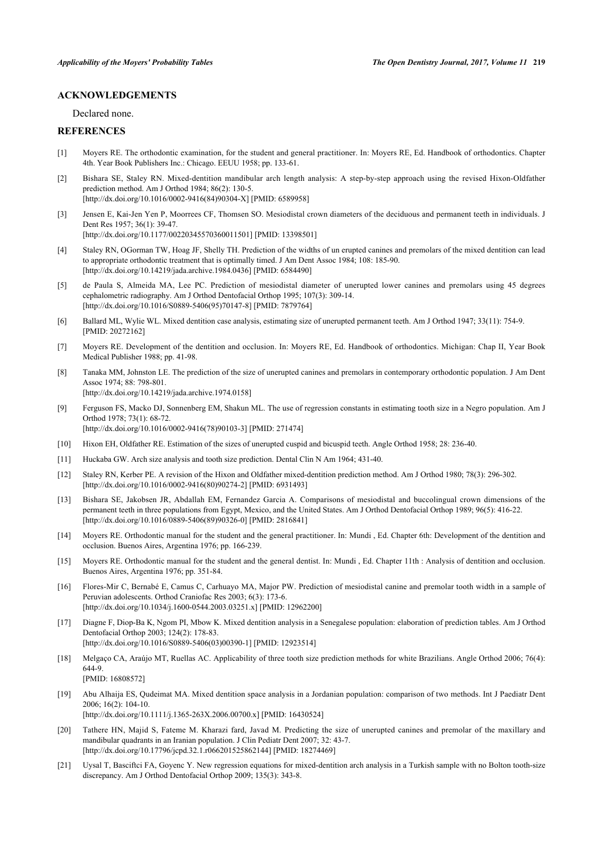#### **ACKNOWLEDGEMENTS**

Declared none.

### **REFERENCES**

- <span id="page-6-0"></span>[1] Moyers RE. The orthodontic examination, for the student and general practitioner. In: Moyers RE, Ed. Handbook of orthodontics. Chapter 4th. Year Book Publishers Inc.: Chicago. EEUU 1958; pp. 133-61.
- <span id="page-6-1"></span>[2] Bishara SE, Staley RN. Mixed-dentition mandibular arch length analysis: A step-by-step approach using the revised Hixon-Oldfather prediction method. Am J Orthod 1984; 86(2): 130-5. [\[http://dx.doi.org/10.1016/0002-9416\(84\)90304-X](http://dx.doi.org/10.1016/0002-9416(84)90304-X)] [PMID: [6589958\]](http://www.ncbi.nlm.nih.gov/pubmed/6589958)
- <span id="page-6-2"></span>[3] Jensen E, Kai-Jen Yen P, Moorrees CF, Thomsen SO. Mesiodistal crown diameters of the deciduous and permanent teeth in individuals. J Dent Res 1957; 36(1): 39-47.
	- [\[http://dx.doi.org/10.1177/00220345570360011501\]](http://dx.doi.org/10.1177/00220345570360011501) [PMID: [13398501](http://www.ncbi.nlm.nih.gov/pubmed/13398501)]
- [4] Staley RN, OGorman TW, Hoag JF, Shelly TH. Prediction of the widths of un erupted canines and premolars of the mixed dentition can lead to appropriate orthodontic treatment that is optimally timed. J Am Dent Assoc 1984; 108: 185-90. [\[http://dx.doi.org/10.14219/jada.archive.1984.0436\]](http://dx.doi.org/10.14219/jada.archive.1984.0436) [PMID: [6584490](http://www.ncbi.nlm.nih.gov/pubmed/6584490)]
- <span id="page-6-3"></span>[5] de Paula S, Almeida MA, Lee PC. Prediction of mesiodistal diameter of unerupted lower canines and premolars using 45 degrees cephalometric radiography. Am J Orthod Dentofacial Orthop 1995; 107(3): 309-14. [\[http://dx.doi.org/10.1016/S0889-5406\(95\)70147-8\]](http://dx.doi.org/10.1016/S0889-5406(95)70147-8) [PMID: [7879764](http://www.ncbi.nlm.nih.gov/pubmed/7879764)]
- <span id="page-6-4"></span>[6] Ballard ML, Wylie WL. Mixed dentition case analysis, estimating size of unerupted permanent teeth. Am J Orthod 1947; 33(11): 754-9. [PMID: [20272162\]](http://www.ncbi.nlm.nih.gov/pubmed/20272162)
- [7] Moyers RE. Development of the dentition and occlusion. In: Moyers RE, Ed. Handbook of orthodontics. Michigan: Chap II, Year Book Medical Publisher 1988; pp. 41-98.
- [8] Tanaka MM, Johnston LE. The prediction of the size of unerupted canines and premolars in contemporary orthodontic population. J Am Dent Assoc 1974; 88: 798-801. [\[http://dx.doi.org/10.14219/jada.archive.1974.0158\]](http://dx.doi.org/10.14219/jada.archive.1974.0158)
- <span id="page-6-5"></span>[9] Ferguson FS, Macko DJ, Sonnenberg EM, Shakun ML. The use of regression constants in estimating tooth size in a Negro population. Am J Orthod 1978; 73(1): 68-72. [\[http://dx.doi.org/10.1016/0002-9416\(78\)90103-3](http://dx.doi.org/10.1016/0002-9416(78)90103-3)] [PMID: [271474](http://www.ncbi.nlm.nih.gov/pubmed/271474)]
- <span id="page-6-6"></span>[10] Hixon EH, Oldfather RE. Estimation of the sizes of unerupted cuspid and bicuspid teeth. Angle Orthod 1958; 28: 236-40.
- [11] Huckaba GW. Arch size analysis and tooth size prediction. Dental Clin N Am 1964; 431-40.
- [12] Staley RN, Kerber PE. A revision of the Hixon and Oldfather mixed-dentition prediction method. Am J Orthod 1980; 78(3): 296-302. [\[http://dx.doi.org/10.1016/0002-9416\(80\)90274-2](http://dx.doi.org/10.1016/0002-9416(80)90274-2)] [PMID: [6931493](http://www.ncbi.nlm.nih.gov/pubmed/6931493)]
- <span id="page-6-7"></span>[13] Bishara SE, Jakobsen JR, Abdallah EM, Fernandez Garcia A. Comparisons of mesiodistal and buccolingual crown dimensions of the permanent teeth in three populations from Egypt, Mexico, and the United States. Am J Orthod Dentofacial Orthop 1989; 96(5): 416-22. [\[http://dx.doi.org/10.1016/0889-5406\(89\)90326-0](http://dx.doi.org/10.1016/0889-5406(89)90326-0)] [PMID: [2816841](http://www.ncbi.nlm.nih.gov/pubmed/2816841)]
- <span id="page-6-8"></span>[14] Moyers RE. Orthodontic manual for the student and the general practitioner. In: Mundi , Ed. Chapter 6th: Development of the dentition and occlusion. Buenos Aires, Argentina 1976; pp. 166-239.
- <span id="page-6-9"></span>[15] Moyers RE. Orthodontic manual for the student and the general dentist. In: Mundi , Ed. Chapter 11th : Analysis of dentition and occlusion. Buenos Aires, Argentina 1976; pp. 351-84.
- <span id="page-6-10"></span>[16] Flores-Mir C, Bernabé E, Camus C, Carhuayo MA, Major PW. Prediction of mesiodistal canine and premolar tooth width in a sample of Peruvian adolescents. Orthod Craniofac Res 2003; 6(3): 173-6. [\[http://dx.doi.org/10.1034/j.1600-0544.2003.03251.x\]](http://dx.doi.org/10.1034/j.1600-0544.2003.03251.x) [PMID: [12962200](http://www.ncbi.nlm.nih.gov/pubmed/12962200)]
- [17] Diagne F, Diop-Ba K, Ngom PI, Mbow K. Mixed dentition analysis in a Senegalese population: elaboration of prediction tables. Am J Orthod Dentofacial Orthop 2003; 124(2): 178-83. [\[http://dx.doi.org/10.1016/S0889-5406\(03\)00390-1\]](http://dx.doi.org/10.1016/S0889-5406(03)00390-1) [PMID: [12923514](http://www.ncbi.nlm.nih.gov/pubmed/12923514)]
- <span id="page-6-12"></span>[18] Melgaço CA, Araújo MT, Ruellas AC. Applicability of three tooth size prediction methods for white Brazilians. Angle Orthod 2006; 76(4): 644-9.
	- [PMID: [16808572\]](http://www.ncbi.nlm.nih.gov/pubmed/16808572)
- <span id="page-6-13"></span>[19] Abu Alhaija ES, Qudeimat MA. Mixed dentition space analysis in a Jordanian population: comparison of two methods. Int J Paediatr Dent 2006; 16(2): 104-10.
	- [\[http://dx.doi.org/10.1111/j.1365-263X.2006.00700.x](http://dx.doi.org/10.1111/j.1365-263X.2006.00700.x)] [PMID: [16430524](http://www.ncbi.nlm.nih.gov/pubmed/16430524)]
- <span id="page-6-11"></span>[20] Tathere HN, Majid S, Fateme M. Kharazi fard, Javad M. Predicting the size of unerupted canines and premolar of the maxillary and mandibular quadrants in an Iranian population. J Clin Pediatr Dent 2007; 32: 43-7. [\[http://dx.doi.org/10.17796/jcpd.32.1.r066201525862144](http://dx.doi.org/10.17796/jcpd.32.1.r066201525862144)] [PMID: [18274469\]](http://www.ncbi.nlm.nih.gov/pubmed/18274469)
- [21] Uysal T, Basciftci FA, Goyenc Y. New regression equations for mixed-dentition arch analysis in a Turkish sample with no Bolton tooth-size discrepancy. Am J Orthod Dentofacial Orthop 2009; 135(3): 343-8.